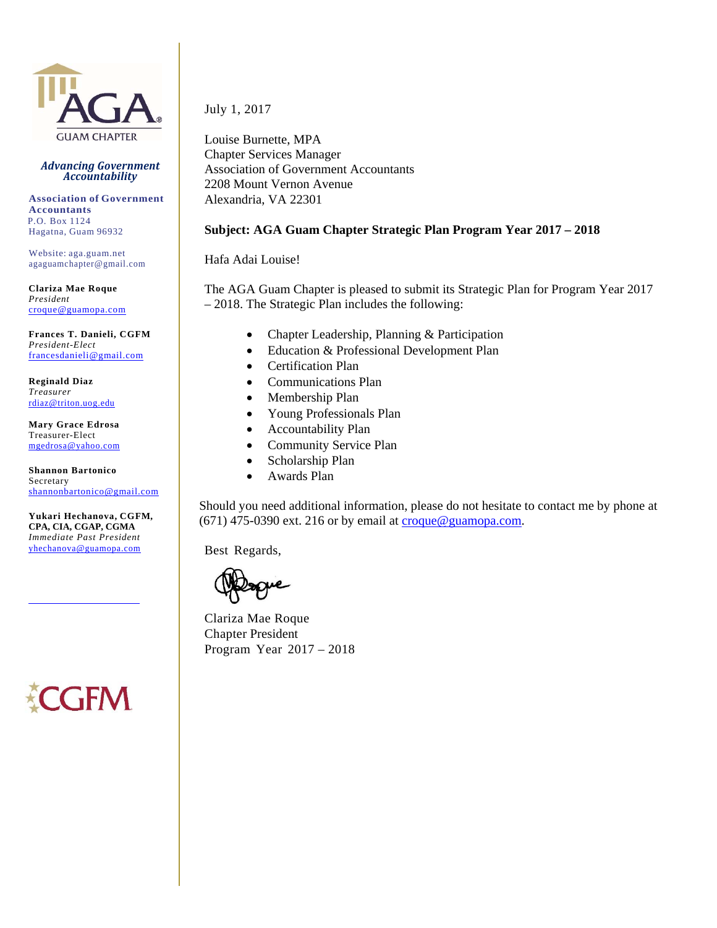

#### *Advancing Government Accountability*

**Association of Government Accountants** P.O. Box 1124 Hagatna, Guam 96932

Website: aga.guam.net agaguamchapter@gmail.com

**Clariza Mae Roque** *President*  croque@guamopa.com

**Frances T. Danieli, CGFM** *President-Elect*  francesdanieli@gmail.com

**Reginald Diaz** *Treasurer*  rdiaz@triton.uog.edu

**Mary Grace Edrosa** Treasurer-Elect mgedrosa@yahoo.com

**Shannon Bartonico** Secretary shannonbartonico@gmail.com

**Yukari Hechanova, CGFM, CPA, CIA, CGAP, CGMA** *Immediate Past President*  yhechanova@guamopa.com

July 1, 2017

Louise Burnette, MPA Chapter Services Manager Association of Government Accountants 2208 Mount Vernon Avenue Alexandria, VA 22301

#### **Subject: AGA Guam Chapter Strategic Plan Program Year 2017 – 2018**

Hafa Adai Louise!

The AGA Guam Chapter is pleased to submit its Strategic Plan for Program Year 2017 – 2018. The Strategic Plan includes the following:

- Chapter Leadership, Planning & Participation
- Education & Professional Development Plan
- Certification Plan
- Communications Plan
- Membership Plan
- Young Professionals Plan
- Accountability Plan
- Community Service Plan
- Scholarship Plan
- Awards Plan

Should you need additional information, please do not hesitate to contact me by phone at (671) 475-0390 ext. 216 or by email at  $croduce@guamopa.com.$ </u>

Best Regards,

Clariza Mae Roque Chapter President Program Year 2017 – 2018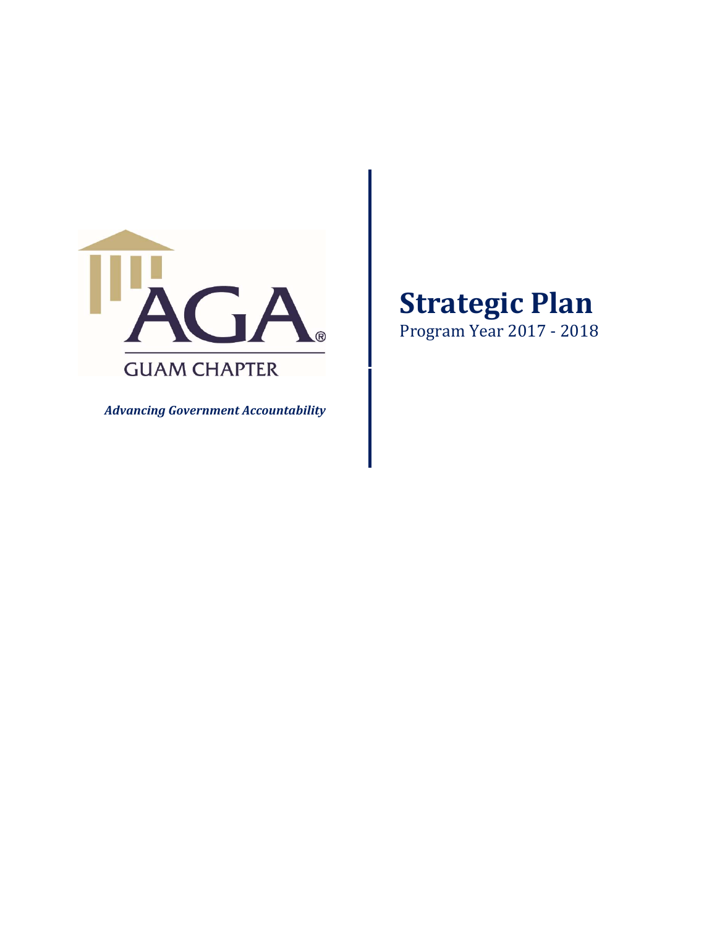

*Advancing Government Accountability*

# **Strategic Plan**

Program Year 2017 - 2018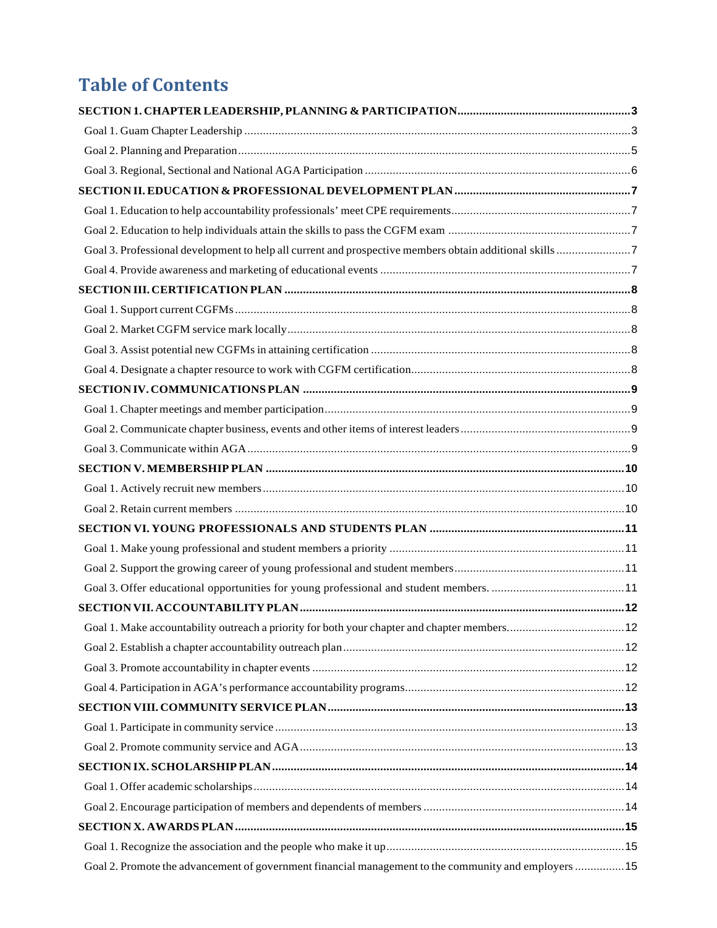# **Table of Contents**

| Goal 3. Professional development to help all current and prospective members obtain additional skills 7 |  |
|---------------------------------------------------------------------------------------------------------|--|
|                                                                                                         |  |
|                                                                                                         |  |
|                                                                                                         |  |
|                                                                                                         |  |
|                                                                                                         |  |
|                                                                                                         |  |
|                                                                                                         |  |
|                                                                                                         |  |
|                                                                                                         |  |
|                                                                                                         |  |
|                                                                                                         |  |
|                                                                                                         |  |
|                                                                                                         |  |
|                                                                                                         |  |
|                                                                                                         |  |
|                                                                                                         |  |
|                                                                                                         |  |
|                                                                                                         |  |
| 12                                                                                                      |  |
|                                                                                                         |  |
|                                                                                                         |  |
|                                                                                                         |  |
|                                                                                                         |  |
|                                                                                                         |  |
|                                                                                                         |  |
|                                                                                                         |  |
|                                                                                                         |  |
|                                                                                                         |  |
|                                                                                                         |  |
|                                                                                                         |  |
|                                                                                                         |  |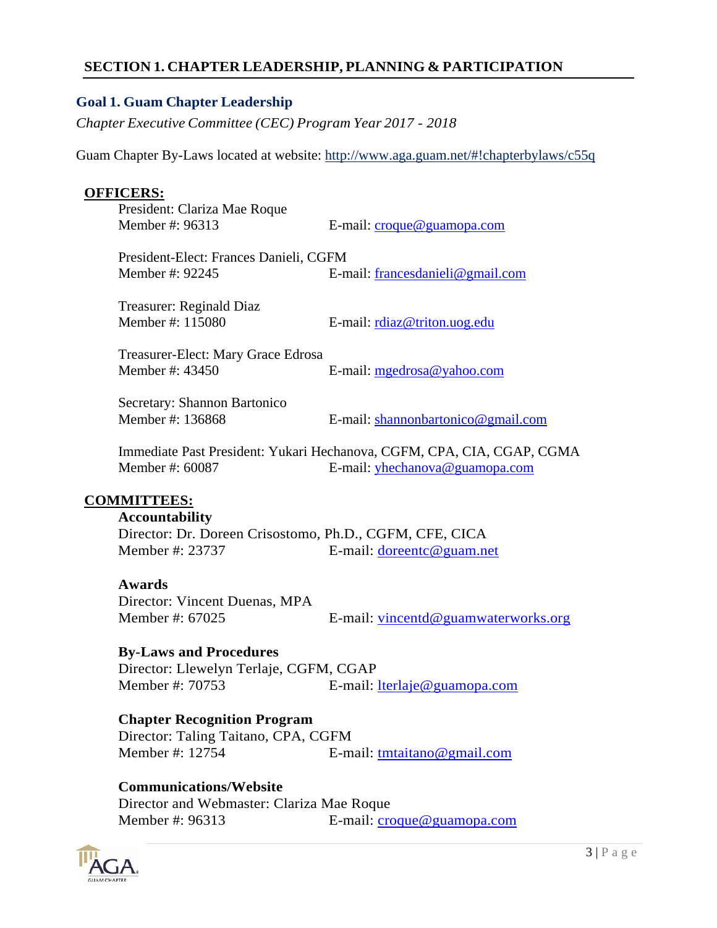#### **SECTION 1. CHAPTER LEADERSHIP, PLANNING & PARTICIPATION**

#### **Goal 1. Guam Chapter Leadership**

*Chapter Executive Committee (CEC) Program Year 2017 - 2018*

Guam Chapter By-Laws located at website: http://www.aga.guam.net/#!chapterbylaws/c55q

#### **OFFICERS:**

President: Clariza Mae Roque

Member #: 96313 E-mail: croque@guamopa.com

 President-Elect: Frances Danieli, CGFM Member #: 92245 E-mail: francesdanieli@gmail.com

Treasurer: Reginald Diaz

Member #: 115080 E-mail: rdiaz@triton.uog.edu

 Treasurer-Elect: Mary Grace Edrosa Member #: 43450 E-mail: mgedrosa@yahoo.com

Secretary: Shannon Bartonico

Member #: 136868 E-mail: shannonbartonico@gmail.com

Immediate Past President: Yukari Hechanova, CGFM, CPA, CIA, CGAP, CGMA Member #: 60087 E-mail: yhechanova@guamopa.com

#### **COMMITTEES:**

#### **Accountability**

Director: Dr. Doreen Crisostomo, Ph.D., CGFM, CFE, CICA Member #: 23737 E-mail: doreentc@guam.net

#### **Awards**

Director: Vincent Duenas, MPA Member #: 67025 E-mail: vincentd@guamwaterworks.org

#### **By-Laws and Procedures**

Director: Llewelyn Terlaje, CGFM, CGAP Member #: 70753 E-mail: lterlaje@guamopa.com

#### **Chapter Recognition Program**

Director: Taling Taitano, CPA, CGFM Member #: 12754 E-mail: tmtaitano@gmail.com

#### **Communications/Website**

Director and Webmaster: Clariza Mae Roque Member #: 96313 E-mail: croque@guamopa.com

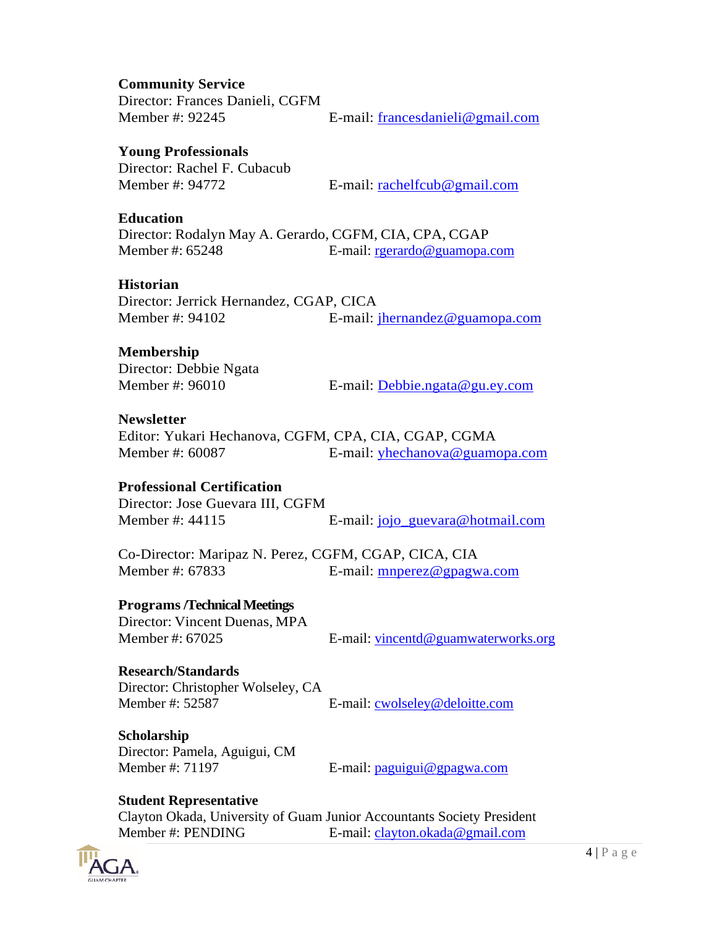#### **Community Service**

Director: Frances Danieli, CGFM

Member #: 92245 E-mail: francesdanieli@gmail.com

#### **Young Professionals**

Director: Rachel F. Cubacub

Member #: 94772 E-mail: rachelfcub@gmail.com

#### **Education**

Director: Rodalyn May A. Gerardo, CGFM, CIA, CPA, CGAP<br>Member #: 65248 E-mail: recrardo@guamona. E-mail: rgerardo@guamopa.com

#### **Historian**

Director: Jerrick Hernandez, CGAP, CICA Member #: 94102 E-mail: jhernandez@guamopa.com

#### **Membership**

Director: Debbie Ngata

Member #: 96010 E-mail: Debbie.ngata@gu.ey.com

#### **Newsletter**

Editor: Yukari Hechanova, CGFM, CPA, CIA, CGAP, CGMA Member #: 60087 E-mail: yhechanova@guamopa.com

### **Professional Certification**

Director: Jose Guevara III, CGFM Member #: 44115 E-mail: jojo\_guevara@hotmail.com

Co-Director: Maripaz N. Perez, CGFM, CGAP, CICA, CIA Member #: 67833 E-mail: mnperez@gpagwa.com

#### **Programs /Technical Meetings**

Director: Vincent Duenas, MPA

Member #: 67025 E-mail: vincentd@guamwaterworks.org

# **Research/Standards**

Director: Christopher Wolseley, CA Member #: 52587 E-mail: cwolseley@deloitte.com

#### **Scholarship**  Director: Pamela, Aguigui, CM Member #: 71197 E-mail: paguigui@gpagwa.com

### **Student Representative**

Clayton Okada, University of Guam Junior Accountants Society President Member #: PENDING E-mail: clayton.okada@gmail.com

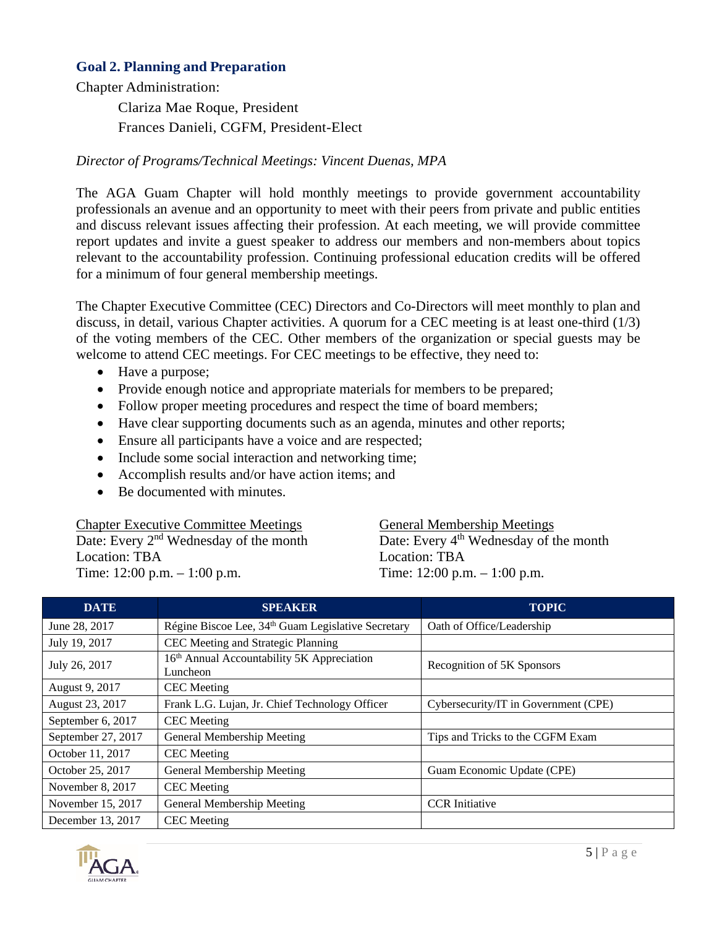#### **Goal 2. Planning and Preparation**

Chapter Administration:

Clariza Mae Roque, President Frances Danieli, CGFM, President-Elect

#### *Director of Programs/Technical Meetings: Vincent Duenas, MPA*

The AGA Guam Chapter will hold monthly meetings to provide government accountability professionals an avenue and an opportunity to meet with their peers from private and public entities and discuss relevant issues affecting their profession. At each meeting, we will provide committee report updates and invite a guest speaker to address our members and non-members about topics relevant to the accountability profession. Continuing professional education credits will be offered for a minimum of four general membership meetings.

The Chapter Executive Committee (CEC) Directors and Co-Directors will meet monthly to plan and discuss, in detail, various Chapter activities. A quorum for a CEC meeting is at least one-third (1/3) of the voting members of the CEC. Other members of the organization or special guests may be welcome to attend CEC meetings. For CEC meetings to be effective, they need to:

- Have a purpose;
- Provide enough notice and appropriate materials for members to be prepared;
- Follow proper meeting procedures and respect the time of board members;
- Have clear supporting documents such as an agenda, minutes and other reports;
- Ensure all participants have a voice and are respected;
- Include some social interaction and networking time;
- Accomplish results and/or have action items; and
- Be documented with minutes.

Chapter Executive Committee Meetings Date: Every 2<sup>nd</sup> Wednesday of the month Location: TBA Time: 12:00 p.m. – 1:00 p.m.

General Membership Meetings Date: Every 4<sup>th</sup> Wednesday of the month Location: TBA Time: 12:00 p.m. – 1:00 p.m.

| <b>DATE</b>        | <b>SPEAKER</b>                                                     | <b>TOPIC</b>                         |
|--------------------|--------------------------------------------------------------------|--------------------------------------|
| June 28, 2017      | Régine Biscoe Lee, 34 <sup>th</sup> Guam Legislative Secretary     | Oath of Office/Leadership            |
| July 19, 2017      | CEC Meeting and Strategic Planning                                 |                                      |
| July 26, 2017      | 16 <sup>th</sup> Annual Accountability 5K Appreciation<br>Luncheon | Recognition of 5K Sponsors           |
| August 9, 2017     | <b>CEC</b> Meeting                                                 |                                      |
| August 23, 2017    | Frank L.G. Lujan, Jr. Chief Technology Officer                     | Cybersecurity/IT in Government (CPE) |
| September 6, 2017  | <b>CEC</b> Meeting                                                 |                                      |
| September 27, 2017 | General Membership Meeting                                         | Tips and Tricks to the CGFM Exam     |
| October 11, 2017   | <b>CEC</b> Meeting                                                 |                                      |
| October 25, 2017   | General Membership Meeting                                         | Guam Economic Update (CPE)           |
| November 8, 2017   | <b>CEC</b> Meeting                                                 |                                      |
| November 15, 2017  | General Membership Meeting                                         | <b>CCR</b> Initiative                |
| December 13, 2017  | <b>CEC</b> Meeting                                                 |                                      |

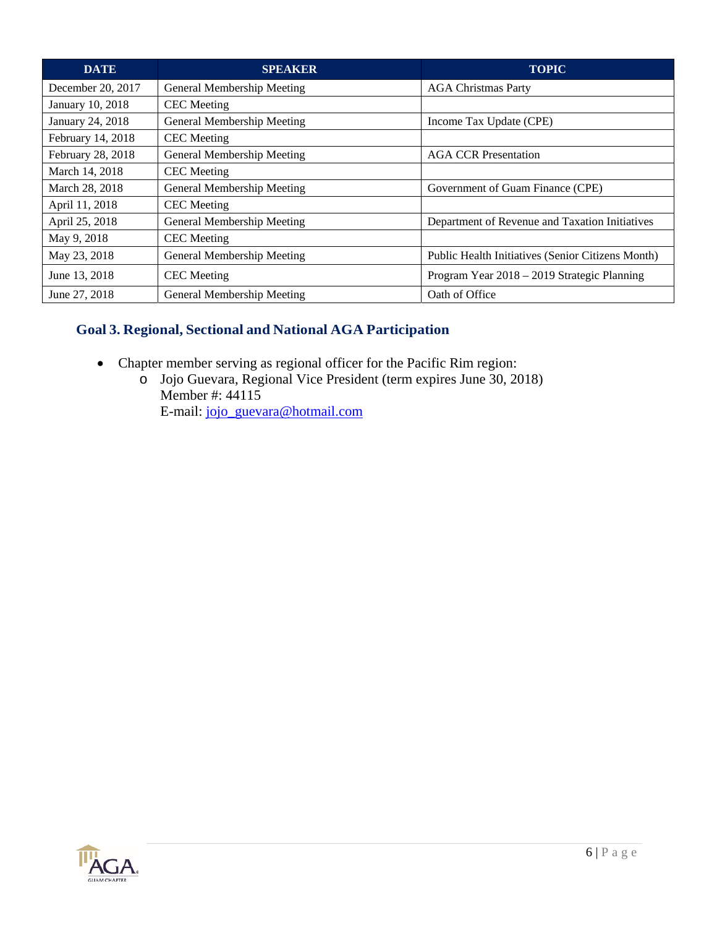| <b>DATE</b>       | <b>SPEAKER</b>             | <b>TOPIC</b>                                      |
|-------------------|----------------------------|---------------------------------------------------|
| December 20, 2017 | General Membership Meeting | <b>AGA Christmas Party</b>                        |
| January 10, 2018  | <b>CEC</b> Meeting         |                                                   |
| January 24, 2018  | General Membership Meeting | Income Tax Update (CPE)                           |
| February 14, 2018 | <b>CEC</b> Meeting         |                                                   |
| February 28, 2018 | General Membership Meeting | <b>AGA CCR Presentation</b>                       |
| March 14, 2018    | <b>CEC</b> Meeting         |                                                   |
| March 28, 2018    | General Membership Meeting | Government of Guam Finance (CPE)                  |
| April 11, 2018    | <b>CEC</b> Meeting         |                                                   |
| April 25, 2018    | General Membership Meeting | Department of Revenue and Taxation Initiatives    |
| May 9, 2018       | <b>CEC</b> Meeting         |                                                   |
| May 23, 2018      | General Membership Meeting | Public Health Initiatives (Senior Citizens Month) |
| June 13, 2018     | <b>CEC</b> Meeting         | Program Year 2018 – 2019 Strategic Planning       |
| June 27, 2018     | General Membership Meeting | Oath of Office                                    |

# **Goal 3. Regional, Sectional and National AGA Participation**

- Chapter member serving as regional officer for the Pacific Rim region:
	- o Jojo Guevara, Regional Vice President (term expires June 30, 2018) Member #: 44115 E-mail: jojo\_guevara@hotmail.com

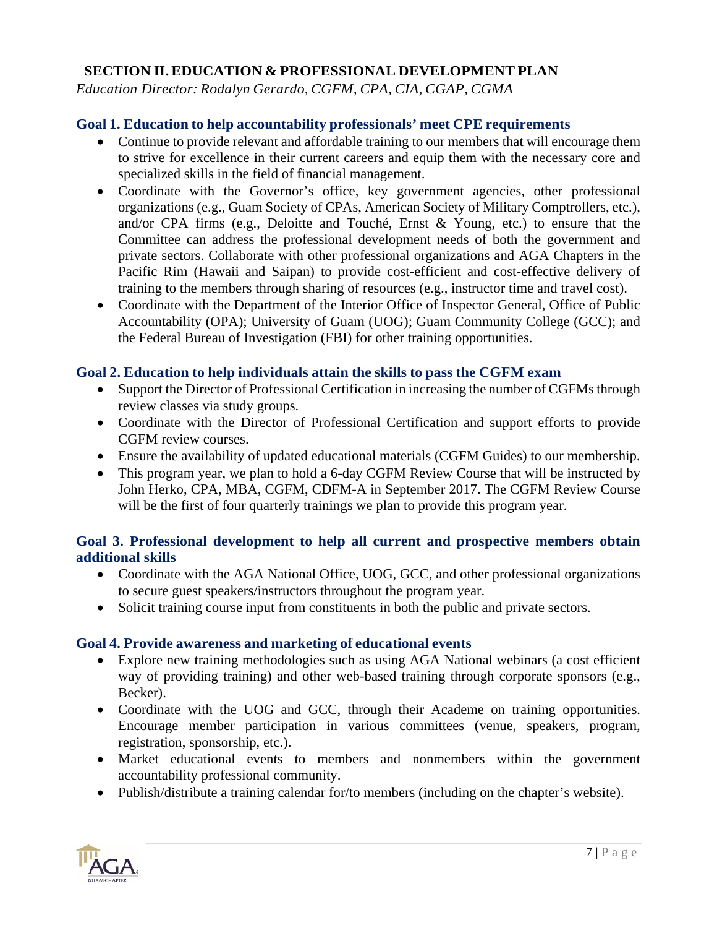#### **SECTION II. EDUCATION & PROFESSIONAL DEVELOPMENT PLAN**

*Education Director: Rodalyn Gerardo, CGFM, CPA, CIA, CGAP, CGMA* 

#### **Goal 1. Education to help accountability professionals' meet CPE requirements**

- Continue to provide relevant and affordable training to our members that will encourage them to strive for excellence in their current careers and equip them with the necessary core and specialized skills in the field of financial management.
- Coordinate with the Governor's office, key government agencies, other professional organizations (e.g., Guam Society of CPAs, American Society of Military Comptrollers, etc.), and/or CPA firms (e.g., Deloitte and Touché, Ernst & Young, etc.) to ensure that the Committee can address the professional development needs of both the government and private sectors. Collaborate with other professional organizations and AGA Chapters in the Pacific Rim (Hawaii and Saipan) to provide cost-efficient and cost-effective delivery of training to the members through sharing of resources (e.g., instructor time and travel cost).
- Coordinate with the Department of the Interior Office of Inspector General, Office of Public Accountability (OPA); University of Guam (UOG); Guam Community College (GCC); and the Federal Bureau of Investigation (FBI) for other training opportunities.

#### **Goal 2. Education to help individuals attain the skills to pass the CGFM exam**

- Support the Director of Professional Certification in increasing the number of CGFMs through review classes via study groups.
- Coordinate with the Director of Professional Certification and support efforts to provide CGFM review courses.
- Ensure the availability of updated educational materials (CGFM Guides) to our membership.
- This program year, we plan to hold a 6-day CGFM Review Course that will be instructed by John Herko, CPA, MBA, CGFM, CDFM-A in September 2017. The CGFM Review Course will be the first of four quarterly trainings we plan to provide this program year.

#### **Goal 3. Professional development to help all current and prospective members obtain additional skills**

- Coordinate with the AGA National Office, UOG, GCC, and other professional organizations to secure guest speakers/instructors throughout the program year.
- Solicit training course input from constituents in both the public and private sectors.

#### **Goal 4. Provide awareness and marketing of educational events**

- Explore new training methodologies such as using AGA National webinars (a cost efficient way of providing training) and other web-based training through corporate sponsors (e.g., Becker).
- Coordinate with the UOG and GCC, through their Academe on training opportunities. Encourage member participation in various committees (venue, speakers, program, registration, sponsorship, etc.).
- Market educational events to members and nonmembers within the government accountability professional community.
- Publish/distribute a training calendar for/to members (including on the chapter's website).

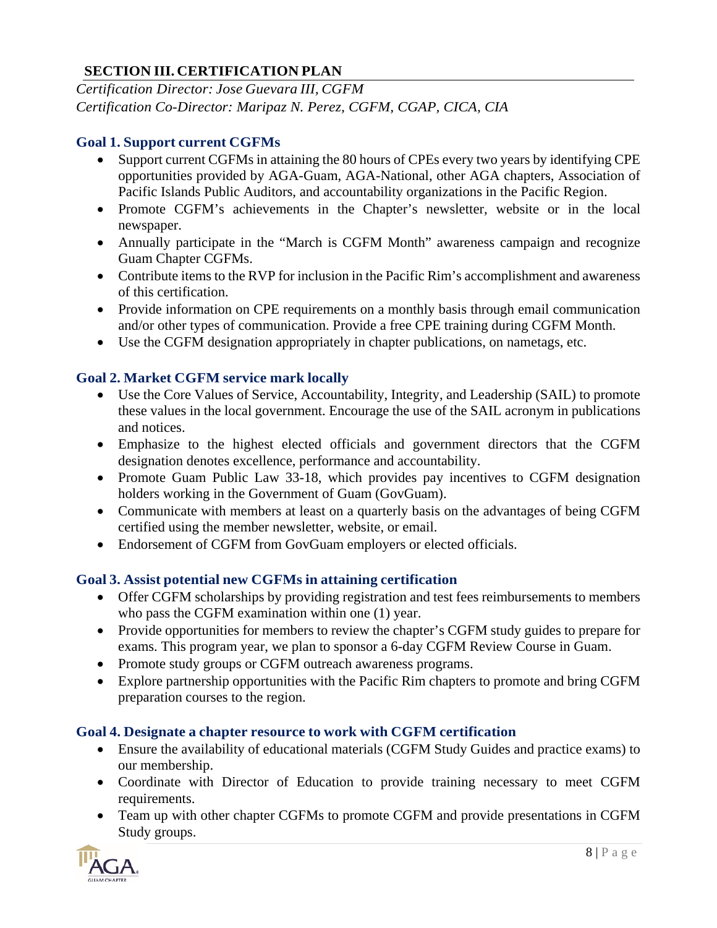## **SECTION III. CERTIFICATION PLAN**

*Certification Director: Jose Guevara III, CGFM Certification Co-Director: Maripaz N. Perez, CGFM, CGAP, CICA, CIA*

#### **Goal 1. Support current CGFMs**

- Support current CGFMs in attaining the 80 hours of CPEs every two years by identifying CPE opportunities provided by AGA-Guam, AGA-National, other AGA chapters, Association of Pacific Islands Public Auditors, and accountability organizations in the Pacific Region.
- Promote CGFM's achievements in the Chapter's newsletter, website or in the local newspaper.
- Annually participate in the "March is CGFM Month" awareness campaign and recognize Guam Chapter CGFMs.
- Contribute items to the RVP for inclusion in the Pacific Rim's accomplishment and awareness of this certification.
- Provide information on CPE requirements on a monthly basis through email communication and/or other types of communication. Provide a free CPE training during CGFM Month.
- Use the CGFM designation appropriately in chapter publications, on nametags, etc.

#### **Goal 2. Market CGFM service mark locally**

- Use the Core Values of Service, Accountability, Integrity, and Leadership (SAIL) to promote these values in the local government. Encourage the use of the SAIL acronym in publications and notices.
- Emphasize to the highest elected officials and government directors that the CGFM designation denotes excellence, performance and accountability.
- Promote Guam Public Law 33-18, which provides pay incentives to CGFM designation holders working in the Government of Guam (GovGuam).
- Communicate with members at least on a quarterly basis on the advantages of being CGFM certified using the member newsletter, website, or email.
- Endorsement of CGFM from GovGuam employers or elected officials.

#### **Goal 3. Assist potential new CGFMs in attaining certification**

- Offer CGFM scholarships by providing registration and test fees reimbursements to members who pass the CGFM examination within one (1) year.
- Provide opportunities for members to review the chapter's CGFM study guides to prepare for exams. This program year, we plan to sponsor a 6-day CGFM Review Course in Guam.
- Promote study groups or CGFM outreach awareness programs.
- Explore partnership opportunities with the Pacific Rim chapters to promote and bring CGFM preparation courses to the region.

#### **Goal 4. Designate a chapter resource to work with CGFM certification**

- Ensure the availability of educational materials (CGFM Study Guides and practice exams) to our membership.
- Coordinate with Director of Education to provide training necessary to meet CGFM requirements.
- Team up with other chapter CGFMs to promote CGFM and provide presentations in CGFM Study groups.

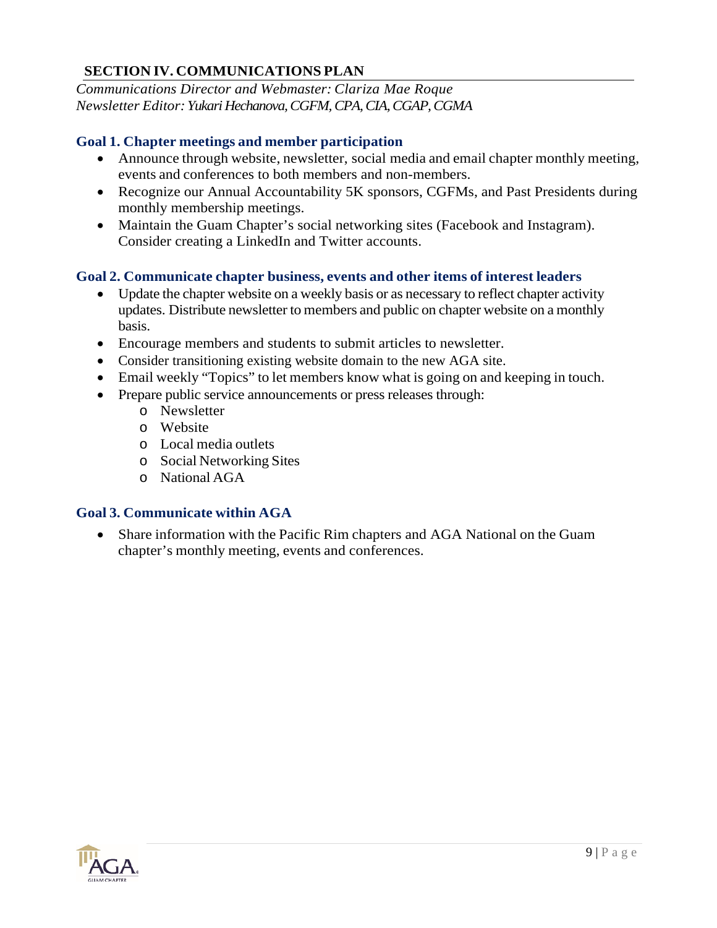### **SECTION IV. COMMUNICATIONS PLAN**

*Communications Director and Webmaster: Clariza Mae Roque Newsletter Editor: Yukari Hechanova, CGFM, CPA, CIA, CGAP, CGMA* 

#### **Goal 1. Chapter meetings and member participation**

- Announce through website, newsletter, social media and email chapter monthly meeting, events and conferences to both members and non-members.
- Recognize our Annual Accountability 5K sponsors, CGFMs, and Past Presidents during monthly membership meetings.
- Maintain the Guam Chapter's social networking sites (Facebook and Instagram). Consider creating a LinkedIn and Twitter accounts.

#### **Goal 2. Communicate chapter business, events and other items of interest leaders**

- Update the chapter website on a weekly basis or as necessary to reflect chapter activity updates. Distribute newsletter to members and public on chapter website on a monthly basis.
- Encourage members and students to submit articles to newsletter.
- Consider transitioning existing website domain to the new AGA site.
- Email weekly "Topics" to let members know what is going on and keeping in touch.
- Prepare public service announcements or press releases through:
	- o Newsletter
	- o Website
	- o Local media outlets
	- o Social Networking Sites
	- o National AGA

#### **Goal 3. Communicate within AGA**

 Share information with the Pacific Rim chapters and AGA National on the Guam chapter's monthly meeting, events and conferences.

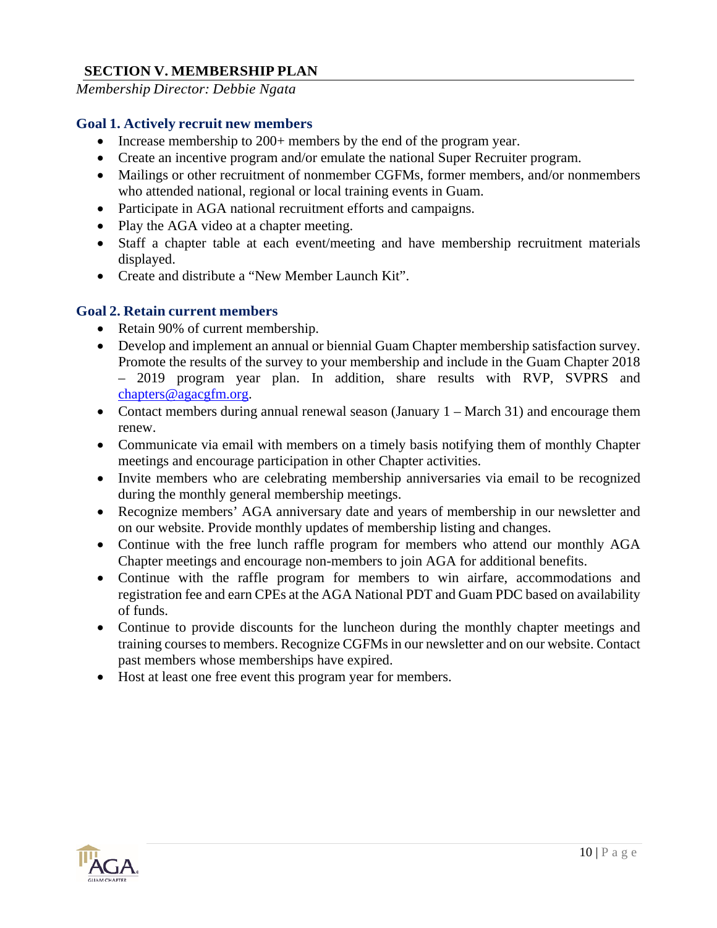#### **SECTION V. MEMBERSHIP PLAN**

*Membership Director: Debbie Ngata* 

#### **Goal 1. Actively recruit new members**

- Increase membership to 200+ members by the end of the program year.
- Create an incentive program and/or emulate the national Super Recruiter program.
- Mailings or other recruitment of nonmember CGFMs, former members, and/or nonmembers who attended national, regional or local training events in Guam.
- Participate in AGA national recruitment efforts and campaigns.
- Play the AGA video at a chapter meeting.
- Staff a chapter table at each event/meeting and have membership recruitment materials displayed.
- Create and distribute a "New Member Launch Kit".

#### **Goal 2. Retain current members**

- Retain 90% of current membership.
- Develop and implement an annual or biennial Guam Chapter membership satisfaction survey. Promote the results of the survey to your membership and include in the Guam Chapter 2018 – 2019 program year plan. In addition, share results with RVP, SVPRS and chapters@agacgfm.org.
- Contact members during annual renewal season (January 1 March 31) and encourage them renew.
- Communicate via email with members on a timely basis notifying them of monthly Chapter meetings and encourage participation in other Chapter activities.
- Invite members who are celebrating membership anniversaries via email to be recognized during the monthly general membership meetings.
- Recognize members' AGA anniversary date and years of membership in our newsletter and on our website. Provide monthly updates of membership listing and changes.
- Continue with the free lunch raffle program for members who attend our monthly AGA Chapter meetings and encourage non-members to join AGA for additional benefits.
- Continue with the raffle program for members to win airfare, accommodations and registration fee and earn CPEs at the AGA National PDT and Guam PDC based on availability of funds.
- Continue to provide discounts for the luncheon during the monthly chapter meetings and training courses to members. Recognize CGFMs in our newsletter and on our website. Contact past members whose memberships have expired.
- Host at least one free event this program year for members.

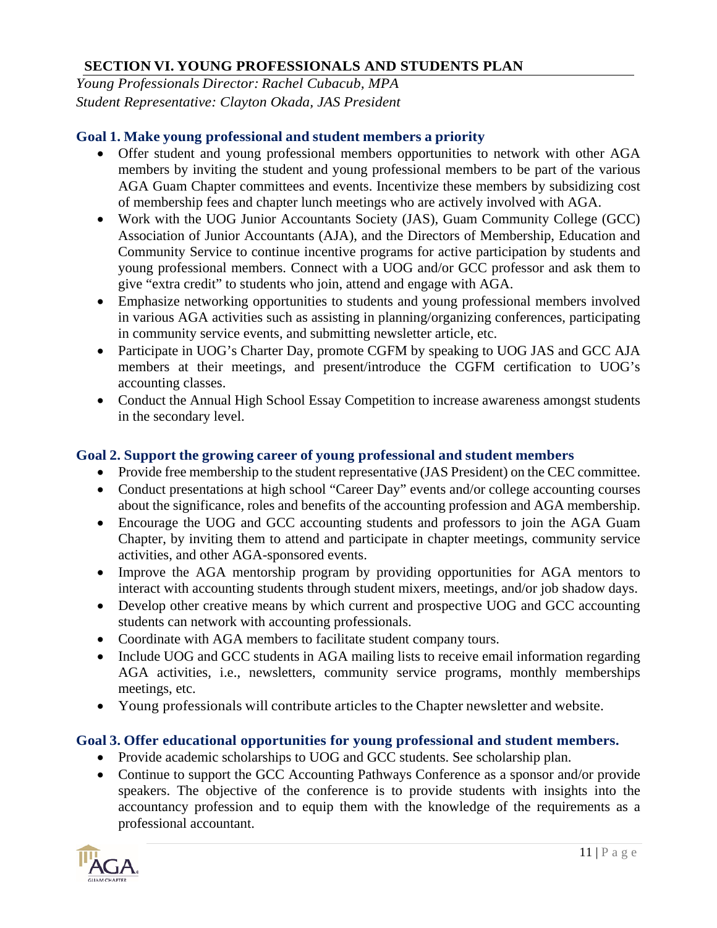#### **SECTION VI. YOUNG PROFESSIONALS AND STUDENTS PLAN**

*Young Professionals Director: Rachel Cubacub, MPA Student Representative: Clayton Okada, JAS President*

#### **Goal 1. Make young professional and student members a priority**

- Offer student and young professional members opportunities to network with other AGA members by inviting the student and young professional members to be part of the various AGA Guam Chapter committees and events. Incentivize these members by subsidizing cost of membership fees and chapter lunch meetings who are actively involved with AGA.
- Work with the UOG Junior Accountants Society (JAS), Guam Community College (GCC) Association of Junior Accountants (AJA), and the Directors of Membership, Education and Community Service to continue incentive programs for active participation by students and young professional members. Connect with a UOG and/or GCC professor and ask them to give "extra credit" to students who join, attend and engage with AGA.
- Emphasize networking opportunities to students and young professional members involved in various AGA activities such as assisting in planning/organizing conferences, participating in community service events, and submitting newsletter article, etc.
- Participate in UOG's Charter Day, promote CGFM by speaking to UOG JAS and GCC AJA members at their meetings, and present/introduce the CGFM certification to UOG's accounting classes.
- Conduct the Annual High School Essay Competition to increase awareness amongst students in the secondary level.

#### **Goal 2. Support the growing career of young professional and student members**

- Provide free membership to the student representative (JAS President) on the CEC committee.
- Conduct presentations at high school "Career Day" events and/or college accounting courses about the significance, roles and benefits of the accounting profession and AGA membership.
- Encourage the UOG and GCC accounting students and professors to join the AGA Guam Chapter, by inviting them to attend and participate in chapter meetings, community service activities, and other AGA-sponsored events.
- Improve the AGA mentorship program by providing opportunities for AGA mentors to interact with accounting students through student mixers, meetings, and/or job shadow days.
- Develop other creative means by which current and prospective UOG and GCC accounting students can network with accounting professionals.
- Coordinate with AGA members to facilitate student company tours.
- Include UOG and GCC students in AGA mailing lists to receive email information regarding AGA activities, i.e., newsletters, community service programs, monthly memberships meetings, etc.
- Young professionals will contribute articles to the Chapter newsletter and website.

### **Goal 3. Offer educational opportunities for young professional and student members.**

- Provide academic scholarships to UOG and GCC students. See scholarship plan.
- Continue to support the GCC Accounting Pathways Conference as a sponsor and/or provide speakers. The objective of the conference is to provide students with insights into the accountancy profession and to equip them with the knowledge of the requirements as a professional accountant.

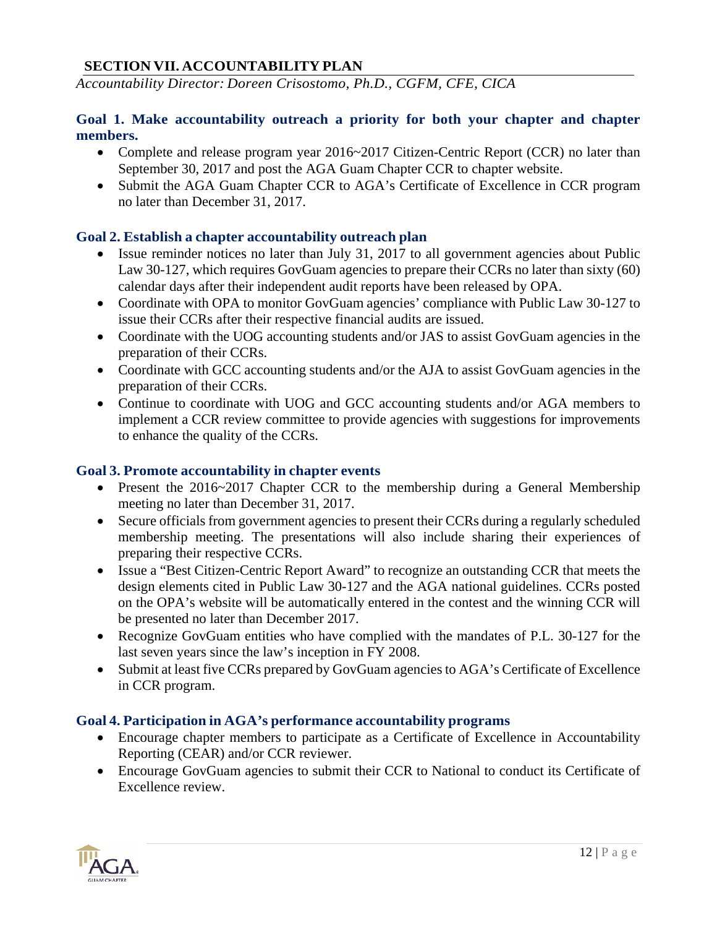#### **SECTION VII. ACCOUNTABILITY PLAN**

*Accountability Director: Doreen Crisostomo, Ph.D., CGFM, CFE, CICA*

#### **Goal 1. Make accountability outreach a priority for both your chapter and chapter members.**

- Complete and release program year 2016~2017 Citizen-Centric Report (CCR) no later than September 30, 2017 and post the AGA Guam Chapter CCR to chapter website.
- Submit the AGA Guam Chapter CCR to AGA's Certificate of Excellence in CCR program no later than December 31, 2017.

#### **Goal 2. Establish a chapter accountability outreach plan**

- Issue reminder notices no later than July 31, 2017 to all government agencies about Public Law 30-127, which requires GovGuam agencies to prepare their CCRs no later than sixty (60) calendar days after their independent audit reports have been released by OPA.
- Coordinate with OPA to monitor GovGuam agencies' compliance with Public Law 30-127 to issue their CCRs after their respective financial audits are issued.
- Coordinate with the UOG accounting students and/or JAS to assist GovGuam agencies in the preparation of their CCRs.
- Coordinate with GCC accounting students and/or the AJA to assist GovGuam agencies in the preparation of their CCRs.
- Continue to coordinate with UOG and GCC accounting students and/or AGA members to implement a CCR review committee to provide agencies with suggestions for improvements to enhance the quality of the CCRs.

#### **Goal 3. Promote accountability in chapter events**

- Present the 2016~2017 Chapter CCR to the membership during a General Membership meeting no later than December 31, 2017.
- Secure officials from government agencies to present their CCRs during a regularly scheduled membership meeting. The presentations will also include sharing their experiences of preparing their respective CCRs.
- Issue a "Best Citizen-Centric Report Award" to recognize an outstanding CCR that meets the design elements cited in Public Law 30-127 and the AGA national guidelines. CCRs posted on the OPA's website will be automatically entered in the contest and the winning CCR will be presented no later than December 2017.
- Recognize GovGuam entities who have complied with the mandates of P.L. 30-127 for the last seven years since the law's inception in FY 2008.
- Submit at least five CCRs prepared by GovGuam agencies to AGA's Certificate of Excellence in CCR program.

#### **Goal 4. Participation in AGA's performance accountability programs**

- Encourage chapter members to participate as a Certificate of Excellence in Accountability Reporting (CEAR) and/or CCR reviewer.
- Encourage GovGuam agencies to submit their CCR to National to conduct its Certificate of Excellence review.

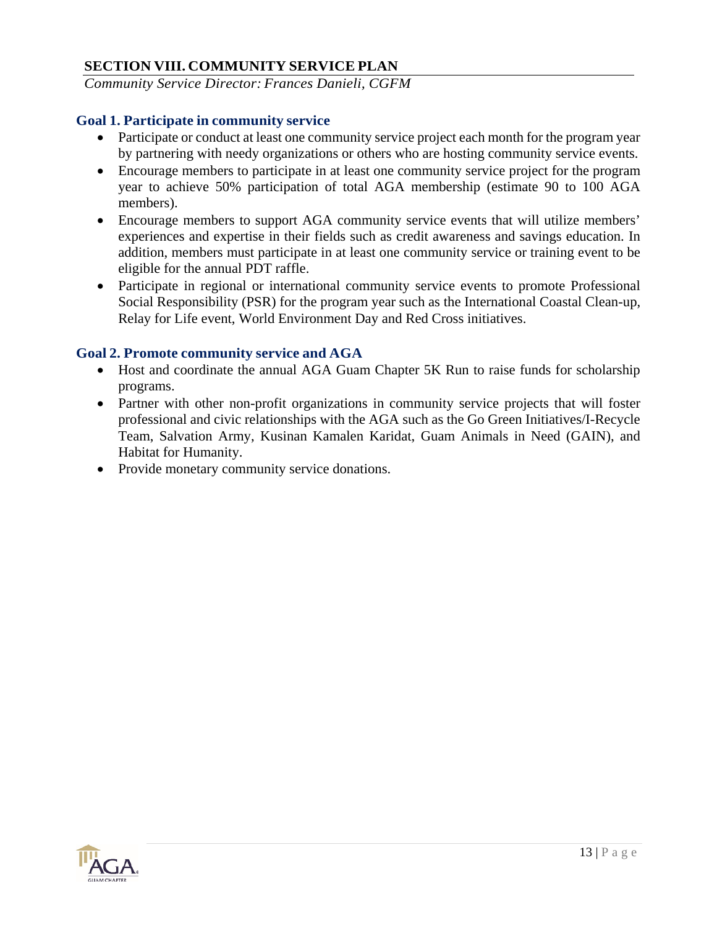#### **SECTION VIII. COMMUNITY SERVICE PLAN**

*Community Service Director: Frances Danieli, CGFM* 

#### **Goal 1. Participate in community service**

- Participate or conduct at least one community service project each month for the program year by partnering with needy organizations or others who are hosting community service events.
- Encourage members to participate in at least one community service project for the program year to achieve 50% participation of total AGA membership (estimate 90 to 100 AGA members).
- Encourage members to support AGA community service events that will utilize members' experiences and expertise in their fields such as credit awareness and savings education. In addition, members must participate in at least one community service or training event to be eligible for the annual PDT raffle.
- Participate in regional or international community service events to promote Professional Social Responsibility (PSR) for the program year such as the International Coastal Clean-up, Relay for Life event, World Environment Day and Red Cross initiatives.

#### **Goal 2. Promote community service and AGA**

- Host and coordinate the annual AGA Guam Chapter 5K Run to raise funds for scholarship programs.
- Partner with other non-profit organizations in community service projects that will foster professional and civic relationships with the AGA such as the Go Green Initiatives/I-Recycle Team, Salvation Army, Kusinan Kamalen Karidat, Guam Animals in Need (GAIN), and Habitat for Humanity.
- Provide monetary community service donations.

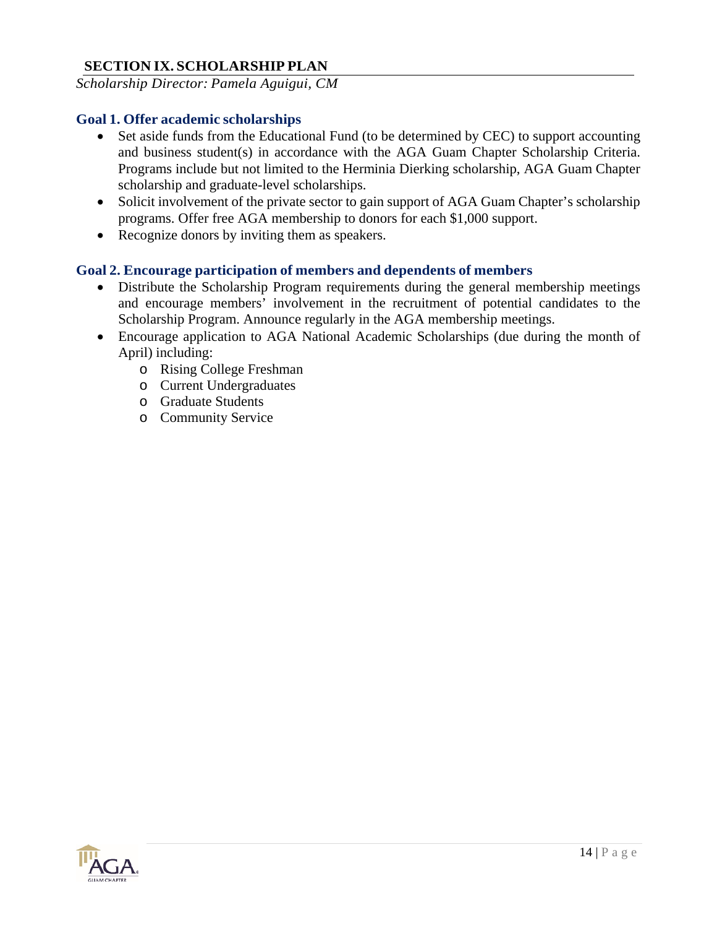#### **SECTION IX. SCHOLARSHIP PLAN**

*Scholarship Director: Pamela Aguigui, CM*

#### **Goal 1. Offer academic scholarships**

- Set aside funds from the Educational Fund (to be determined by CEC) to support accounting and business student(s) in accordance with the AGA Guam Chapter Scholarship Criteria. Programs include but not limited to the Herminia Dierking scholarship, AGA Guam Chapter scholarship and graduate-level scholarships.
- Solicit involvement of the private sector to gain support of AGA Guam Chapter's scholarship programs. Offer free AGA membership to donors for each \$1,000 support.
- Recognize donors by inviting them as speakers.

#### **Goal 2. Encourage participation of members and dependents of members**

- Distribute the Scholarship Program requirements during the general membership meetings and encourage members' involvement in the recruitment of potential candidates to the Scholarship Program. Announce regularly in the AGA membership meetings.
- Encourage application to AGA National Academic Scholarships (due during the month of April) including:
	- o Rising College Freshman
	- o Current Undergraduates
	- o Graduate Students
	- o Community Service